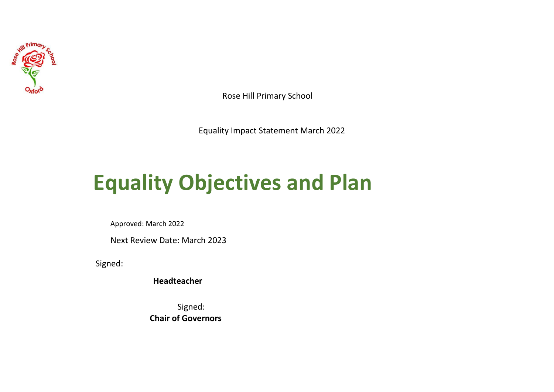

Rose Hill Primary School

Equality Impact Statement March 2022

## **Equality Objectives and Plan**

Approved: March 2022

Next Review Date: March 2023

Signed:

**Headteacher**

Signed: **Chair of Governors**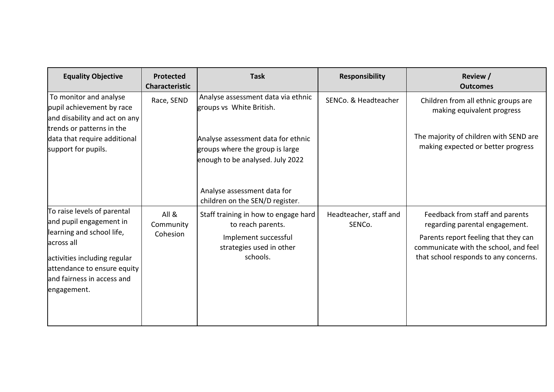| <b>Equality Objective</b>                                                                                                                                                                                     | <b>Protected</b><br><b>Characteristic</b> | <b>Task</b>                                                                                                               | <b>Responsibility</b>            | Review /<br><b>Outcomes</b>                                                                                                                                                                 |
|---------------------------------------------------------------------------------------------------------------------------------------------------------------------------------------------------------------|-------------------------------------------|---------------------------------------------------------------------------------------------------------------------------|----------------------------------|---------------------------------------------------------------------------------------------------------------------------------------------------------------------------------------------|
| To monitor and analyse<br>pupil achievement by race<br>and disability and act on any<br>trends or patterns in the                                                                                             | Race, SEND                                | Analyse assessment data via ethnic<br>groups vs White British.                                                            | SENCo. & Headteacher             | Children from all ethnic groups are<br>making equivalent progress                                                                                                                           |
| data that require additional<br>support for pupils.                                                                                                                                                           |                                           | Analyse assessment data for ethnic<br>groups where the group is large<br>enough to be analysed. July 2022                 |                                  | The majority of children with SEND are<br>making expected or better progress                                                                                                                |
|                                                                                                                                                                                                               |                                           | Analyse assessment data for<br>children on the SEN/D register.                                                            |                                  |                                                                                                                                                                                             |
| To raise levels of parental<br>and pupil engagement in<br>learning and school life,<br>across all<br>activities including regular<br>attendance to ensure equity<br>and fairness in access and<br>engagement. | All &<br>Community<br>Cohesion            | Staff training in how to engage hard<br>to reach parents.<br>Implement successful<br>strategies used in other<br>schools. | Headteacher, staff and<br>SENCo. | Feedback from staff and parents<br>regarding parental engagement.<br>Parents report feeling that they can<br>communicate with the school, and feel<br>that school responds to any concerns. |